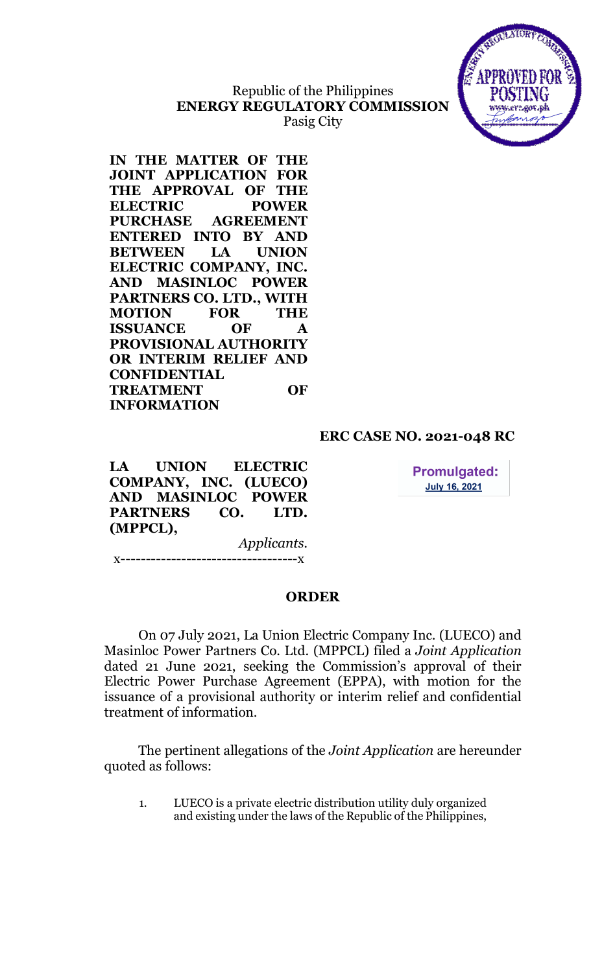# Republic of the Philippines ENERGY REGULATORY COMMISSION Pasig City



IN THE MATTER OF THE JOINT APPLICATION FOR THE APPROVAL OF THE ELECTRIC POWER PURCHASE AGREEMENT ENTERED INTO BY AND BETWEEN LA UNION ELECTRIC COMPANY, INC. AND MASINLOC POWER PARTNERS CO. LTD., WITH MOTION FOR THE ISSUANCE OF A PROVISIONAL AUTHORITY OR INTERIM RELIEF AND **CONFIDENTIAL** TREATMENT OF INFORMATION

## ERC CASE NO. 2021-048 RC

LA UNION ELECTRIC COMPANY, INC. (LUECO) AND MASINLOC POWER PARTNERS CO. LTD. (MPPCL),

**Promulgated: July 16, 2021** 

Applicants. x-----------------------------------x

## ORDER

On 07 July 2021, La Union Electric Company Inc. (LUECO) and Masinloc Power Partners Co. Ltd. (MPPCL) filed a Joint Application dated 21 June 2021, seeking the Commission's approval of their Electric Power Purchase Agreement (EPPA), with motion for the issuance of a provisional authority or interim relief and confidential treatment of information.

The pertinent allegations of the Joint Application are hereunder quoted as follows:

1. LUECO is a private electric distribution utility duly organized and existing under the laws of the Republic of the Philippines,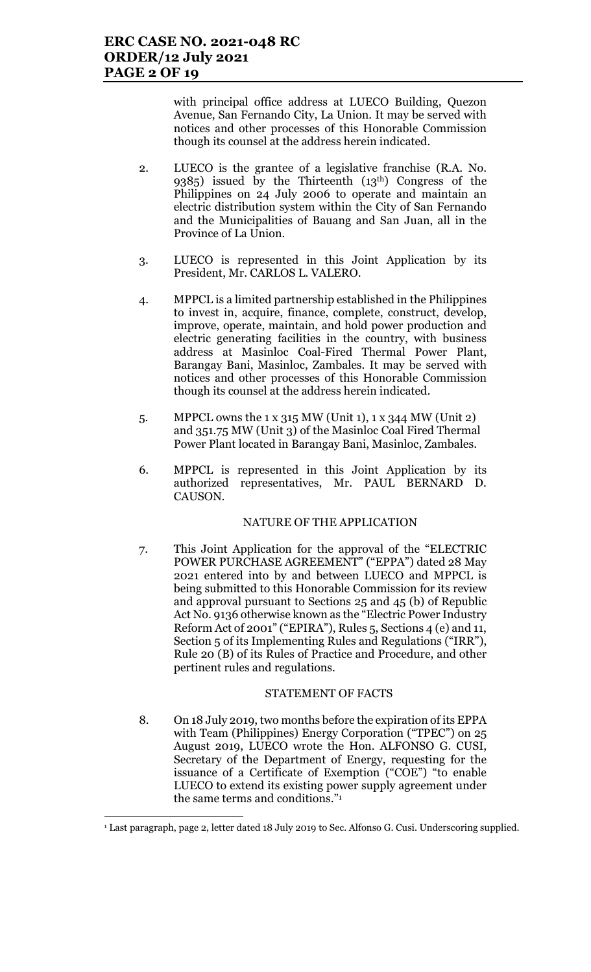with principal office address at LUECO Building, Quezon Avenue, San Fernando City, La Union. It may be served with notices and other processes of this Honorable Commission though its counsel at the address herein indicated.

- 2. LUECO is the grantee of a legislative franchise (R.A. No. 9385) issued by the Thirteenth (13th) Congress of the Philippines on 24 July 2006 to operate and maintain an electric distribution system within the City of San Fernando and the Municipalities of Bauang and San Juan, all in the Province of La Union.
- 3. LUECO is represented in this Joint Application by its President, Mr. CARLOS L. VALERO.
- 4. MPPCL is a limited partnership established in the Philippines to invest in, acquire, finance, complete, construct, develop, improve, operate, maintain, and hold power production and electric generating facilities in the country, with business address at Masinloc Coal-Fired Thermal Power Plant, Barangay Bani, Masinloc, Zambales. It may be served with notices and other processes of this Honorable Commission though its counsel at the address herein indicated.
- 5. MPPCL owns the 1 x 315 MW (Unit 1), 1 x 344 MW (Unit 2) and 351.75 MW (Unit 3) of the Masinloc Coal Fired Thermal Power Plant located in Barangay Bani, Masinloc, Zambales.
- 6. MPPCL is represented in this Joint Application by its authorized representatives, Mr. PAUL BERNARD D. CAUSON.

### NATURE OF THE APPLICATION

7. This Joint Application for the approval of the "ELECTRIC POWER PURCHASE AGREEMENT" ("EPPA") dated 28 May 2021 entered into by and between LUECO and MPPCL is being submitted to this Honorable Commission for its review and approval pursuant to Sections 25 and 45 (b) of Republic Act No. 9136 otherwise known as the "Electric Power Industry Reform Act of 2001" ("EPIRA"), Rules 5, Sections 4 (e) and 11, Section 5 of its Implementing Rules and Regulations ("IRR"), Rule 20 (B) of its Rules of Practice and Procedure, and other pertinent rules and regulations.

### STATEMENT OF FACTS

8. On 18 July 2019, two months before the expiration of its EPPA with Team (Philippines) Energy Corporation ("TPEC") on 25 August 2019, LUECO wrote the Hon. ALFONSO G. CUSI, Secretary of the Department of Energy, requesting for the issuance of a Certificate of Exemption ("COE") "to enable LUECO to extend its existing power supply agreement under the same terms and conditions."<sup>1</sup>

<sup>1</sup> Last paragraph, page 2, letter dated 18 July 2019 to Sec. Alfonso G. Cusi. Underscoring supplied.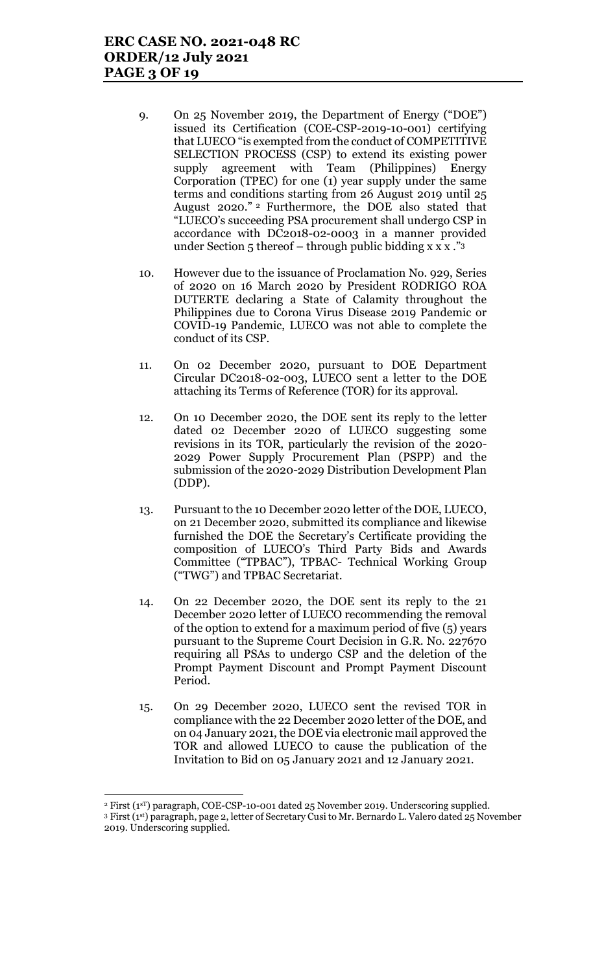- 9. On 25 November 2019, the Department of Energy ("DOE") issued its Certification (COE-CSP-2019-10-001) certifying that LUECO "is exempted from the conduct of COMPETITIVE SELECTION PROCESS (CSP) to extend its existing power supply agreement with Team (Philippines) Energy Corporation (TPEC) for one (1) year supply under the same terms and conditions starting from 26 August 2019 until 25 August 2020." <sup>2</sup> Furthermore, the DOE also stated that "LUECO's succeeding PSA procurement shall undergo CSP in accordance with DC2018-02-0003 in a manner provided under Section  $5$  thereof – through public bidding x x x ."3
- 10. However due to the issuance of Proclamation No. 929, Series of 2020 on 16 March 2020 by President RODRIGO ROA DUTERTE declaring a State of Calamity throughout the Philippines due to Corona Virus Disease 2019 Pandemic or COVID-19 Pandemic, LUECO was not able to complete the conduct of its CSP.
- 11. On 02 December 2020, pursuant to DOE Department Circular DC2018-02-003, LUECO sent a letter to the DOE attaching its Terms of Reference (TOR) for its approval.
- 12. On 10 December 2020, the DOE sent its reply to the letter dated 02 December 2020 of LUECO suggesting some revisions in its TOR, particularly the revision of the 2020- 2029 Power Supply Procurement Plan (PSPP) and the submission of the 2020-2029 Distribution Development Plan (DDP).
- 13. Pursuant to the 10 December 2020 letter of the DOE, LUECO, on 21 December 2020, submitted its compliance and likewise furnished the DOE the Secretary's Certificate providing the composition of LUECO's Third Party Bids and Awards Committee ("TPBAC"), TPBAC- Technical Working Group ("TWG") and TPBAC Secretariat.
- 14. On 22 December 2020, the DOE sent its reply to the 21 December 2020 letter of LUECO recommending the removal of the option to extend for a maximum period of five (5) years pursuant to the Supreme Court Decision in G.R. No. 227670 requiring all PSAs to undergo CSP and the deletion of the Prompt Payment Discount and Prompt Payment Discount Period.
- 15. On 29 December 2020, LUECO sent the revised TOR in compliance with the 22 December 2020 letter of the DOE, and on 04 January 2021, the DOE via electronic mail approved the TOR and allowed LUECO to cause the publication of the Invitation to Bid on 05 January 2021 and 12 January 2021.

 $\overline{a}$ 

<sup>&</sup>lt;sup>2</sup> First (1<sup>sT</sup>) paragraph, COE-CSP-10-001 dated 25 November 2019. Underscoring supplied. <sup>3</sup> First (1st) paragraph, page 2, letter of Secretary Cusi to Mr. Bernardo L. Valero dated 25 November

<sup>2019.</sup> Underscoring supplied.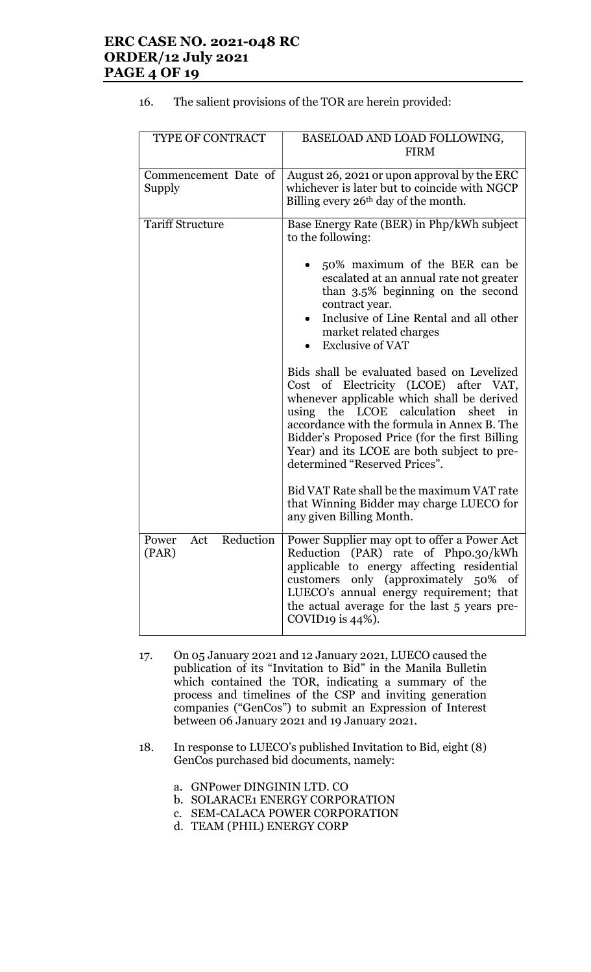## ERC CASE NO. 2021-048 RC ORDER/12 July 2021 PAGE 4 OF 19

| TYPE OF CONTRACT                   | BASELOAD AND LOAD FOLLOWING,<br><b>FIRM</b>                                                                                                                                                                                                                                                                                                                                |
|------------------------------------|----------------------------------------------------------------------------------------------------------------------------------------------------------------------------------------------------------------------------------------------------------------------------------------------------------------------------------------------------------------------------|
| Commencement Date of<br>Supply     | August 26, 2021 or upon approval by the ERC<br>whichever is later but to coincide with NGCP<br>Billing every 26 <sup>th</sup> day of the month.                                                                                                                                                                                                                            |
| <b>Tariff Structure</b>            | Base Energy Rate (BER) in Php/kWh subject<br>to the following:                                                                                                                                                                                                                                                                                                             |
|                                    | 50% maximum of the BER can be<br>escalated at an annual rate not greater<br>than 3.5% beginning on the second<br>contract year.<br>Inclusive of Line Rental and all other<br>market related charges<br><b>Exclusive of VAT</b>                                                                                                                                             |
|                                    | Bids shall be evaluated based on Levelized<br>Cost of Electricity (LCOE) after VAT,<br>whenever applicable which shall be derived<br>using the LCOE calculation<br>$\mathbf{in}$<br>sheet<br>accordance with the formula in Annex B. The<br>Bidder's Proposed Price (for the first Billing<br>Year) and its LCOE are both subject to pre-<br>determined "Reserved Prices". |
|                                    | Bid VAT Rate shall be the maximum VAT rate<br>that Winning Bidder may charge LUECO for<br>any given Billing Month.                                                                                                                                                                                                                                                         |
| Reduction<br>Power<br>Act<br>(PAR) | Power Supplier may opt to offer a Power Act<br>Reduction (PAR) rate of Phpo.30/kWh<br>applicable to energy affecting residential<br>customers only (approximately 50% of<br>LUECO's annual energy requirement; that<br>the actual average for the last 5 years pre-<br>COVID19 is $44\%$ ).                                                                                |

### 16. The salient provisions of the TOR are herein provided:

- 17. On 05 January 2021 and 12 January 2021, LUECO caused the publication of its "Invitation to Bid" in the Manila Bulletin which contained the TOR, indicating a summary of the process and timelines of the CSP and inviting generation companies ("GenCos") to submit an Expression of Interest between 06 January 2021 and 19 January 2021.
- 18. In response to LUECO's published Invitation to Bid, eight (8) GenCos purchased bid documents, namely:
	- a. GNPower DINGININ LTD. CO
	- b. SOLARACE1 ENERGY CORPORATION
	- c. SEM-CALACA POWER CORPORATION
	- d. TEAM (PHIL) ENERGY CORP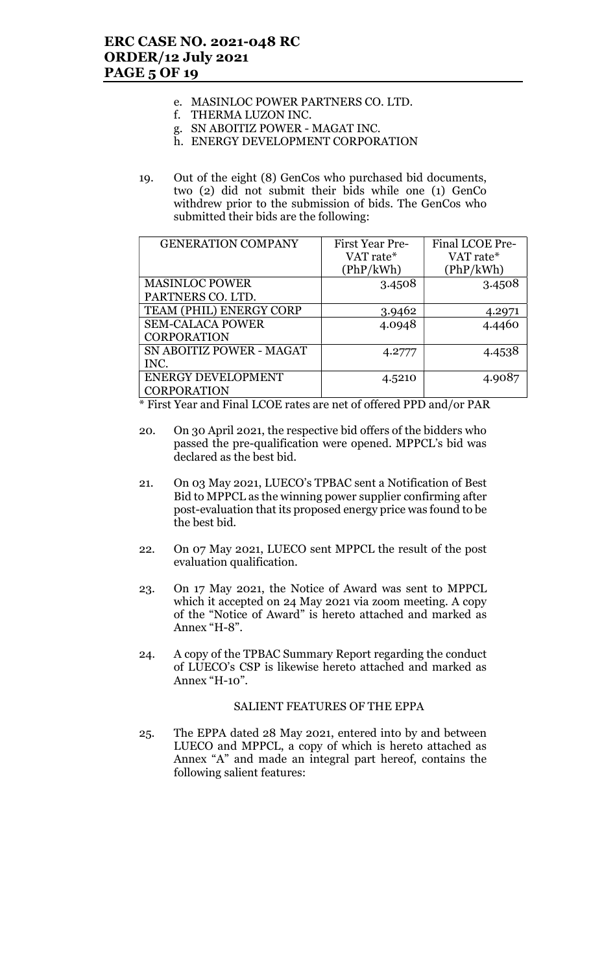- e. MASINLOC POWER PARTNERS CO. LTD.
- f. THERMA LUZON INC.
- g. SN ABOITIZ POWER MAGAT INC.
- h. ENERGY DEVELOPMENT CORPORATION
- 19. Out of the eight (8) GenCos who purchased bid documents, two (2) did not submit their bids while one (1) GenCo withdrew prior to the submission of bids. The GenCos who submitted their bids are the following:

| <b>GENERATION COMPANY</b> | First Year Pre- | Final LCOE Pre- |
|---------------------------|-----------------|-----------------|
|                           | VAT rate*       | VAT rate*       |
|                           | (PhP/kWh)       | (PhP/kWh)       |
| <b>MASINLOC POWER</b>     | 3.4508          | 3.4508          |
| PARTNERS CO. LTD.         |                 |                 |
| TEAM (PHIL) ENERGY CORP   | 3.9462          | 4.2971          |
| <b>SEM-CALACA POWER</b>   | 4.0948          | 4.4460          |
| <b>CORPORATION</b>        |                 |                 |
| SN ABOITIZ POWER - MAGAT  | 4.2777          | 4.4538          |
| INC.                      |                 |                 |
| <b>ENERGY DEVELOPMENT</b> | 4.5210          | 4.9087          |
| <b>CORPORATION</b>        |                 |                 |

\* First Year and Final LCOE rates are net of offered PPD and/or PAR

- 20. On 30 April 2021, the respective bid offers of the bidders who passed the pre-qualification were opened. MPPCL's bid was declared as the best bid.
- 21. On 03 May 2021, LUECO's TPBAC sent a Notification of Best Bid to MPPCL as the winning power supplier confirming after post-evaluation that its proposed energy price was found to be the best bid.
- 22. On 07 May 2021, LUECO sent MPPCL the result of the post evaluation qualification.
- 23. On 17 May 2021, the Notice of Award was sent to MPPCL which it accepted on 24 May 2021 via zoom meeting. A copy of the "Notice of Award" is hereto attached and marked as Annex "H-8".
- 24. A copy of the TPBAC Summary Report regarding the conduct of LUECO's CSP is likewise hereto attached and marked as Annex "H-10".

### SALIENT FEATURES OF THE EPPA

25. The EPPA dated 28 May 2021, entered into by and between LUECO and MPPCL, a copy of which is hereto attached as Annex "A" and made an integral part hereof, contains the following salient features: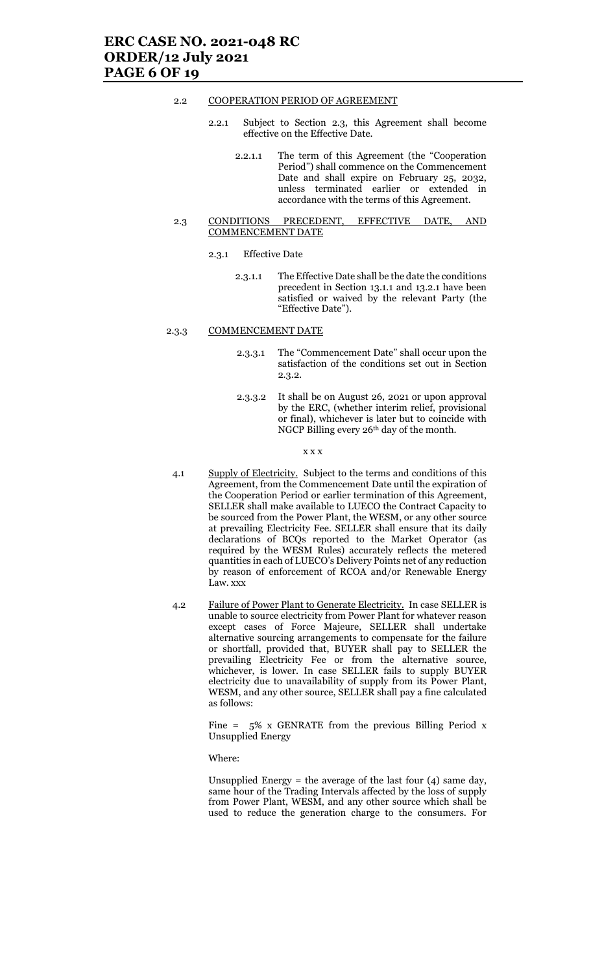#### 2.2 COOPERATION PERIOD OF AGREEMENT

- 2.2.1 Subject to Section 2.3, this Agreement shall become effective on the Effective Date.
	- 2.2.1.1 The term of this Agreement (the "Cooperation Period") shall commence on the Commencement Date and shall expire on February 25, 2032, unless terminated earlier or extended in accordance with the terms of this Agreement.

#### 2.3 CONDITIONS PRECEDENT, EFFECTIVE DATE, AND COMMENCEMENT DATE

- 2.3.1 Effective Date
	- 2.3.1.1 The Effective Date shall be the date the conditions precedent in Section 13.1.1 and 13.2.1 have been satisfied or waived by the relevant Party (the "Effective Date").

#### 2.3.3 COMMENCEMENT DATE

- 2.3.3.1 The "Commencement Date" shall occur upon the satisfaction of the conditions set out in Section 2.3.2.
- 2.3.3.2 It shall be on August 26, 2021 or upon approval by the ERC, (whether interim relief, provisional or final), whichever is later but to coincide with NGCP Billing every 26th day of the month.

#### x x x

- 4.1 Supply of Electricity. Subject to the terms and conditions of this Agreement, from the Commencement Date until the expiration of the Cooperation Period or earlier termination of this Agreement, SELLER shall make available to LUECO the Contract Capacity to be sourced from the Power Plant, the WESM, or any other source at prevailing Electricity Fee. SELLER shall ensure that its daily declarations of BCQs reported to the Market Operator (as required by the WESM Rules) accurately reflects the metered quantities in each of LUECO's Delivery Points net of any reduction by reason of enforcement of RCOA and/or Renewable Energy Law. xxx
- 4.2 Failure of Power Plant to Generate Electricity. In case SELLER is unable to source electricity from Power Plant for whatever reason except cases of Force Majeure, SELLER shall undertake alternative sourcing arrangements to compensate for the failure or shortfall, provided that, BUYER shall pay to SELLER the prevailing Electricity Fee or from the alternative source, whichever, is lower. In case SELLER fails to supply BUYER electricity due to unavailability of supply from its Power Plant, WESM, and any other source, SELLER shall pay a fine calculated as follows:

Fine =  $5\%$  x GENRATE from the previous Billing Period x Unsupplied Energy

#### Where:

Unsupplied Energy = the average of the last four  $(4)$  same day, same hour of the Trading Intervals affected by the loss of supply from Power Plant, WESM, and any other source which shall be used to reduce the generation charge to the consumers. For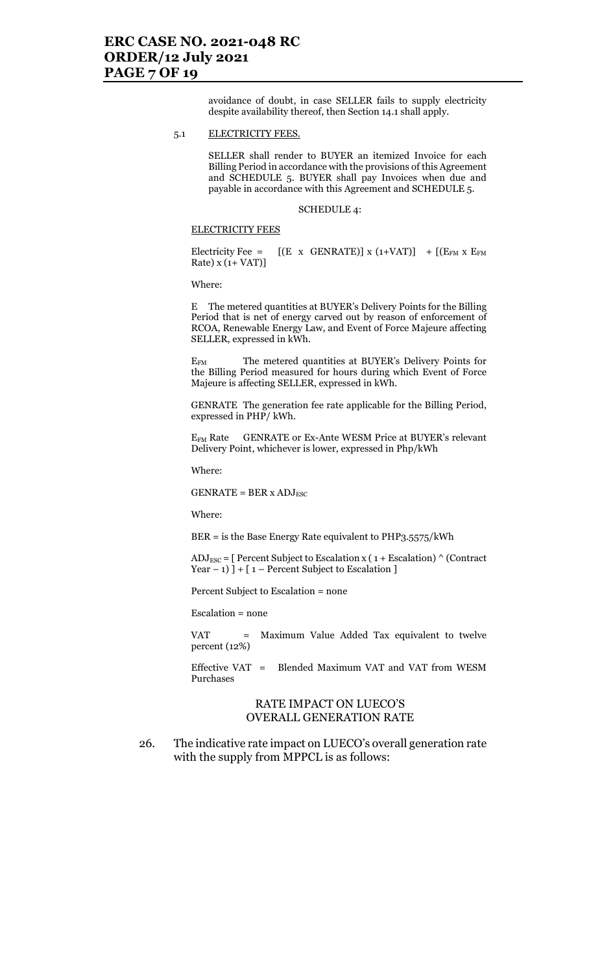### ERC CASE NO. 2021-048 RC ORDER/12 July 2021 PAGE 7 OF 19

avoidance of doubt, in case SELLER fails to supply electricity despite availability thereof, then Section 14.1 shall apply.

#### 5.1 ELECTRICITY FEES.

SELLER shall render to BUYER an itemized Invoice for each Billing Period in accordance with the provisions of this Agreement and SCHEDULE 5. BUYER shall pay Invoices when due and payable in accordance with this Agreement and SCHEDULE 5.

SCHEDULE 4:

#### ELECTRICITY FEES

Electricity Fee =  $[(E \times GENRATE)] \times (1+VAT)] + [(E_{FM} \times E_{FM}$ Rate)  $x(1+VAT)$ ]

Where:

E The metered quantities at BUYER's Delivery Points for the Billing Period that is net of energy carved out by reason of enforcement of RCOA, Renewable Energy Law, and Event of Force Majeure affecting SELLER, expressed in kWh.

EFM The metered quantities at BUYER's Delivery Points for the Billing Period measured for hours during which Event of Force Majeure is affecting SELLER, expressed in kWh.

GENRATE The generation fee rate applicable for the Billing Period, expressed in PHP/ kWh.

EFM Rate GENRATE or Ex-Ante WESM Price at BUYER's relevant Delivery Point, whichever is lower, expressed in Php/kWh

Where:

 $GENRATE = BER \times ADJ_{ESC}$ 

Where:

BER = is the Base Energy Rate equivalent to PHP3.5575/kWh

 $ADJ_{\text{ESC}} =$  [ Percent Subject to Escalation x (1 + Escalation) ^ (Contract Year  $-1$ ) ] + [1 – Percent Subject to Escalation ]

Percent Subject to Escalation = none

Escalation = none

VAT = Maximum Value Added Tax equivalent to twelve percent (12%)

Effective VAT = Blended Maximum VAT and VAT from WESM Purchases

### RATE IMPACT ON LUECO'S OVERALL GENERATION RATE

26. The indicative rate impact on LUECO's overall generation rate with the supply from MPPCL is as follows: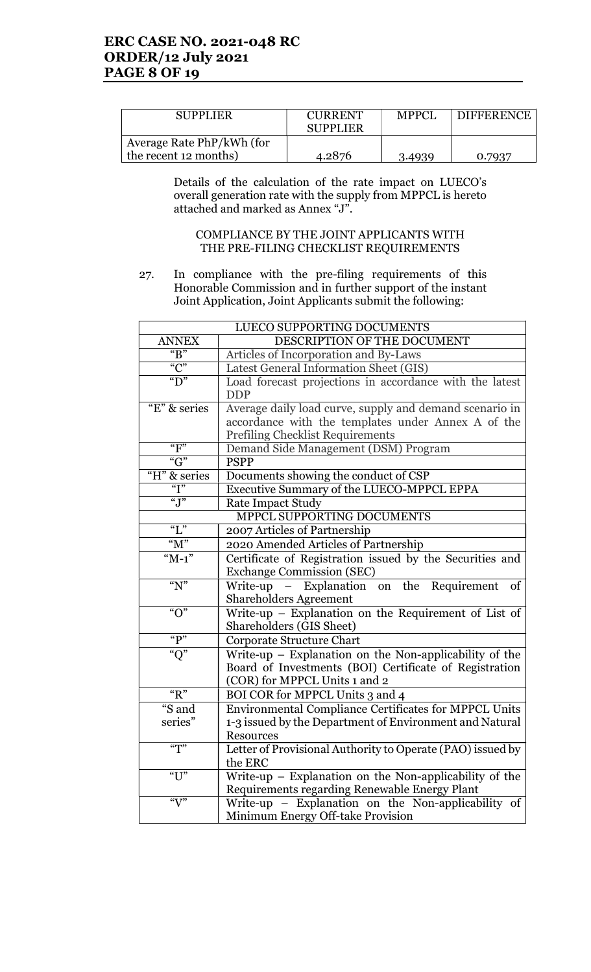| <b>SUPPLIER</b>                                    | <b>CURRENT</b><br><b>SUPPLIER</b> | <b>MPPCI</b> | <b>DIFFERENCE</b> |
|----------------------------------------------------|-----------------------------------|--------------|-------------------|
| Average Rate PhP/kWh (for<br>the recent 12 months) | 4.2876                            | 3.4939       | 0.7937            |

 Details of the calculation of the rate impact on LUECO's overall generation rate with the supply from MPPCL is hereto attached and marked as Annex "J".

### COMPLIANCE BY THE JOINT APPLICANTS WITH THE PRE-FILING CHECKLIST REQUIREMENTS

27. In compliance with the pre-filing requirements of this Honorable Commission and in further support of the instant Joint Application, Joint Applicants submit the following:

| LUECO SUPPORTING DOCUMENTS  |                                                                       |
|-----------------------------|-----------------------------------------------------------------------|
| <b>ANNEX</b>                | DESCRIPTION OF THE DOCUMENT                                           |
| " $B"$                      | Articles of Incorporation and By-Laws                                 |
| $\overline{C}$              | Latest General Information Sheet (GIS)                                |
| " $D$ "                     | Load forecast projections in accordance with the latest<br><b>DDP</b> |
| "E" & series                | Average daily load curve, supply and demand scenario in               |
|                             | accordance with the templates under Annex A of the                    |
|                             | <b>Prefiling Checklist Requirements</b>                               |
| "F"                         | Demand Side Management (DSM) Program                                  |
| " $G$ "                     | <b>PSPP</b>                                                           |
| "H" & series                | Documents showing the conduct of CSP                                  |
| $\overline{a}$ <sup>"</sup> | Executive Summary of the LUECO-MPPCL EPPA                             |
| $\overline{J''}$            | <b>Rate Impact Study</b>                                              |
| MPPCL SUPPORTING DOCUMENTS  |                                                                       |
| $\lq\lq L$ "                | 2007 Articles of Partnership                                          |
| " $M"$                      | 2020 Amended Articles of Partnership                                  |
| " $M-1$ "                   | Certificate of Registration issued by the Securities and              |
|                             | <b>Exchange Commission (SEC)</b>                                      |
| " $N$ "                     | Write-up – Explanation on the Requirement<br>of                       |
|                             | <b>Shareholders Agreement</b>                                         |
| $\overline{``}O"$           | Write-up - Explanation on the Requirement of List of                  |
|                             | Shareholders (GIS Sheet)                                              |
| " $P"$                      | <b>Corporate Structure Chart</b>                                      |
| " $Q$ "                     | Write-up - Explanation on the Non-applicability of the                |
|                             | Board of Investments (BOI) Certificate of Registration                |
|                             | (COR) for MPPCL Units 1 and 2                                         |
| " $R$ "                     | BOI COR for MPPCL Units 3 and 4                                       |
| $\sqrt[46]{s}$ and          | <b>Environmental Compliance Certificates for MPPCL Units</b>          |
| series"                     | 1-3 issued by the Department of Environment and Natural               |
|                             | Resources                                                             |
| $\sqrt{\pi}$                | Letter of Provisional Authority to Operate (PAO) issued by            |
|                             | the ERC                                                               |
| $\overline{``U"}$           | Write-up - Explanation on the Non-applicability of the                |
|                             | Requirements regarding Renewable Energy Plant                         |
| " $V$ "                     | Write-up - Explanation on the Non-applicability of                    |
|                             | Minimum Energy Off-take Provision                                     |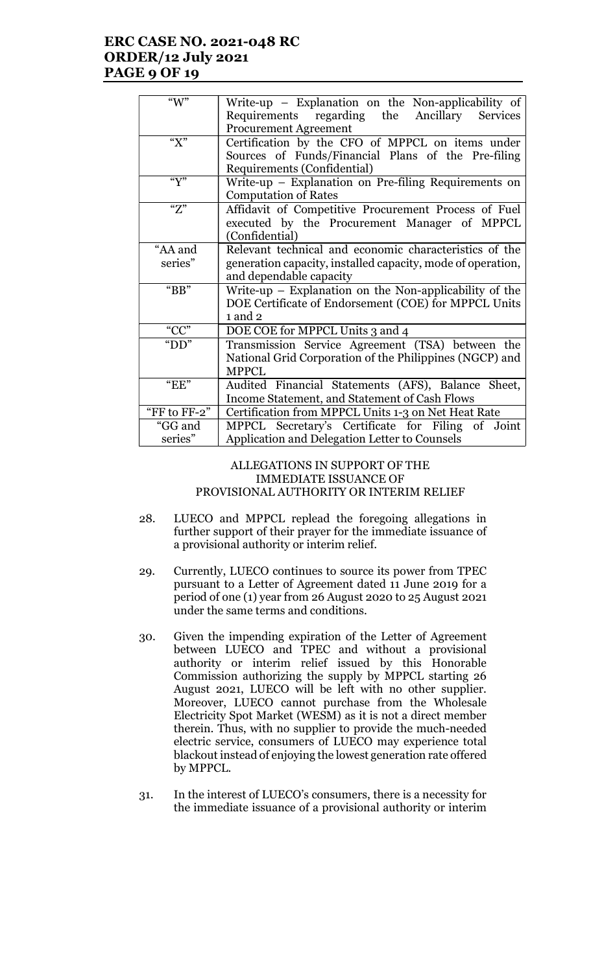## ERC CASE NO. 2021-048 RC ORDER/12 July 2021 PAGE 9 OF 19

| " $W$ "      | Write-up – Explanation on the Non-applicability of          |  |
|--------------|-------------------------------------------------------------|--|
|              | Requirements regarding the Ancillary<br><b>Services</b>     |  |
|              | <b>Procurement Agreement</b>                                |  |
| " $X$ "      | Certification by the CFO of MPPCL on items under            |  |
|              | Sources of Funds/Financial Plans of the Pre-filing          |  |
|              | Requirements (Confidential)                                 |  |
| $\mathbf{w}$ | Write-up – Explanation on Pre-filing Requirements on        |  |
|              | <b>Computation of Rates</b>                                 |  |
| "Z"          | Affidavit of Competitive Procurement Process of Fuel        |  |
|              | executed by the Procurement Manager of MPPCL                |  |
|              | (Confidential)                                              |  |
| "AA and      | Relevant technical and economic characteristics of the      |  |
| series"      | generation capacity, installed capacity, mode of operation, |  |
|              | and dependable capacity                                     |  |
|              |                                                             |  |
| "BB"         | Write-up $-$ Explanation on the Non-applicability of the    |  |
|              | DOE Certificate of Endorsement (COE) for MPPCL Units        |  |
|              | $1$ and $2$                                                 |  |
| " $CC$ "     | DOE COE for MPPCL Units 3 and 4                             |  |
| " $DD"$      | Transmission Service Agreement (TSA) between the            |  |
|              | National Grid Corporation of the Philippines (NGCP) and     |  |
|              | <b>MPPCL</b>                                                |  |
| $E$ EE"      | Audited Financial Statements (AFS), Balance Sheet,          |  |
|              | Income Statement, and Statement of Cash Flows               |  |
| "FF to FF-2" | Certification from MPPCL Units 1-3 on Net Heat Rate         |  |
| "GG and      | MPPCL Secretary's Certificate for Filing of Joint           |  |
| series"      | Application and Delegation Letter to Counsels               |  |
|              |                                                             |  |

### ALLEGATIONS IN SUPPORT OF THE IMMEDIATE ISSUANCE OF PROVISIONAL AUTHORITY OR INTERIM RELIEF

- 28. LUECO and MPPCL replead the foregoing allegations in further support of their prayer for the immediate issuance of a provisional authority or interim relief.
- 29. Currently, LUECO continues to source its power from TPEC pursuant to a Letter of Agreement dated 11 June 2019 for a period of one (1) year from 26 August 2020 to 25 August 2021 under the same terms and conditions.
- 30. Given the impending expiration of the Letter of Agreement between LUECO and TPEC and without a provisional authority or interim relief issued by this Honorable Commission authorizing the supply by MPPCL starting 26 August 2021, LUECO will be left with no other supplier. Moreover, LUECO cannot purchase from the Wholesale Electricity Spot Market (WESM) as it is not a direct member therein. Thus, with no supplier to provide the much-needed electric service, consumers of LUECO may experience total blackout instead of enjoying the lowest generation rate offered by MPPCL.
- 31. In the interest of LUECO's consumers, there is a necessity for the immediate issuance of a provisional authority or interim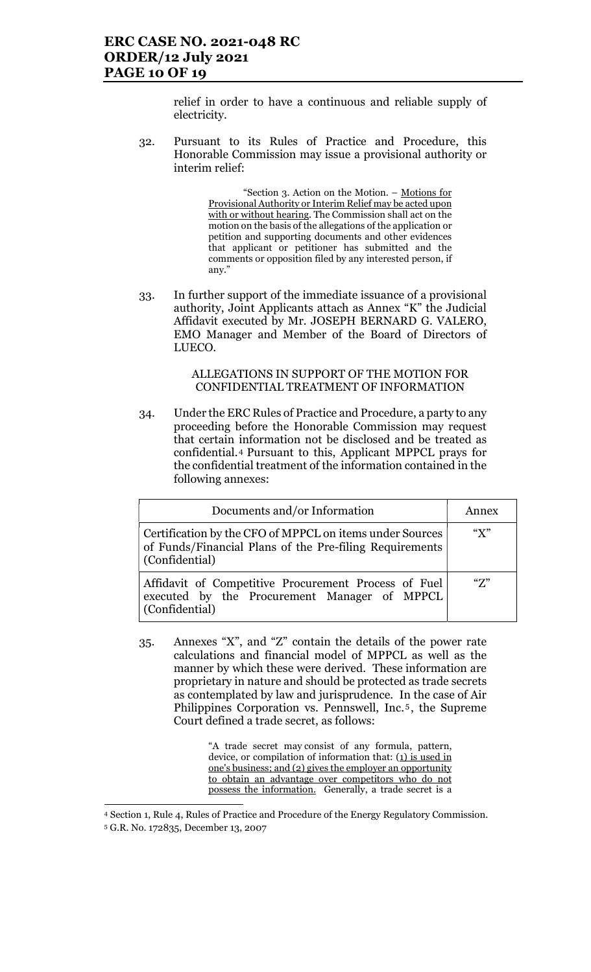relief in order to have a continuous and reliable supply of electricity.

32. Pursuant to its Rules of Practice and Procedure, this Honorable Commission may issue a provisional authority or interim relief:

> "Section 3. Action on the Motion. – Motions for Provisional Authority or Interim Relief may be acted upon with or without hearing. The Commission shall act on the motion on the basis of the allegations of the application or petition and supporting documents and other evidences that applicant or petitioner has submitted and the comments or opposition filed by any interested person, if any."

33. In further support of the immediate issuance of a provisional authority, Joint Applicants attach as Annex "K" the Judicial Affidavit executed by Mr. JOSEPH BERNARD G. VALERO, EMO Manager and Member of the Board of Directors of LUECO.

### ALLEGATIONS IN SUPPORT OF THE MOTION FOR CONFIDENTIAL TREATMENT OF INFORMATION

34. Under the ERC Rules of Practice and Procedure, a party to any proceeding before the Honorable Commission may request that certain information not be disclosed and be treated as confidential.4 Pursuant to this, Applicant MPPCL prays for the confidential treatment of the information contained in the following annexes:

| Documents and/or Information                                                                                                          | Annex                     |
|---------------------------------------------------------------------------------------------------------------------------------------|---------------------------|
| Certification by the CFO of MPPCL on items under Sources<br>of Funds/Financial Plans of the Pre-filing Requirements<br>(Confidential) | $\mathscr{C}(\mathsf{X})$ |
| Affidavit of Competitive Procurement Process of Fuel<br>executed by the Procurement Manager of MPPCL<br>(Confidential)                | "7"                       |

35. Annexes "X", and "Z" contain the details of the power rate calculations and financial model of MPPCL as well as the manner by which these were derived. These information are proprietary in nature and should be protected as trade secrets as contemplated by law and jurisprudence. In the case of Air Philippines Corporation vs. Pennswell, Inc.<sup>5</sup>, the Supreme Court defined a trade secret, as follows:

> "A trade secret may consist of any formula, pattern, device, or compilation of information that: (1) is used in one's business; and (2) gives the employer an opportunity to obtain an advantage over competitors who do not possess the information. Generally, a trade secret is a

 $\overline{a}$ <sup>4</sup> Section 1, Rule 4, Rules of Practice and Procedure of the Energy Regulatory Commission.

<sup>5</sup> G.R. No. 172835, December 13, 2007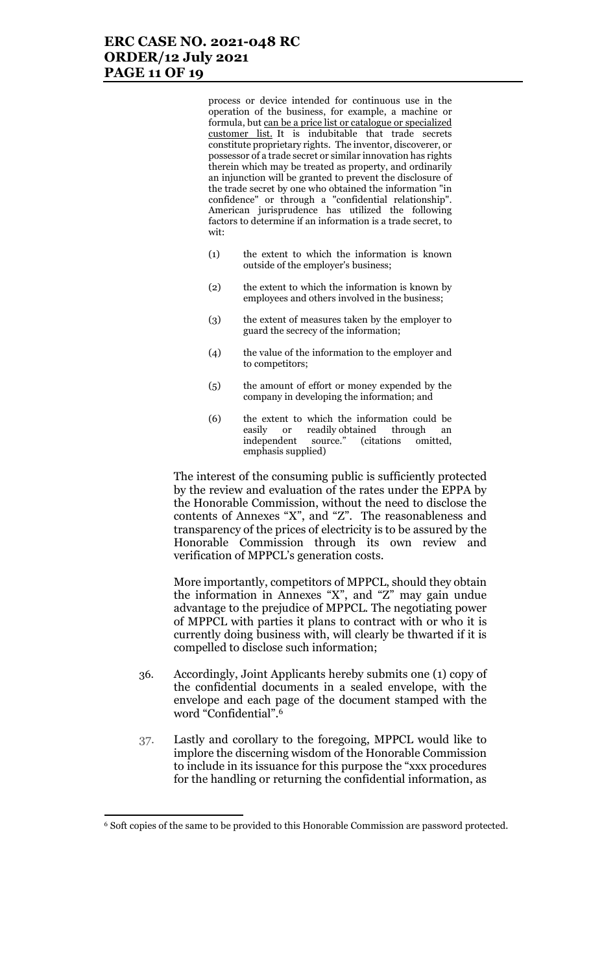## ERC CASE NO. 2021-048 RC ORDER/12 July 2021 PAGE 11 OF 19

process or device intended for continuous use in the operation of the business, for example, a machine or formula, but can be a price list or catalogue or specialized customer list. It is indubitable that trade secrets constitute proprietary rights. The inventor, discoverer, or possessor of a trade secret or similar innovation has rights therein which may be treated as property, and ordinarily an injunction will be granted to prevent the disclosure of the trade secret by one who obtained the information "in confidence" or through a "confidential relationship". American jurisprudence has utilized the following factors to determine if an information is a trade secret, to wit:

- (1) the extent to which the information is known outside of the employer's business;
- (2) the extent to which the information is known by employees and others involved in the business;
- (3) the extent of measures taken by the employer to guard the secrecy of the information;
- (4) the value of the information to the employer and to competitors;
- (5) the amount of effort or money expended by the company in developing the information; and
- (6) the extent to which the information could be easily or readily obtained through an<br>independent source." (citations omitted, independent source." (citations omitted, emphasis supplied)

The interest of the consuming public is sufficiently protected by the review and evaluation of the rates under the EPPA by the Honorable Commission, without the need to disclose the contents of Annexes "X", and "Z". The reasonableness and transparency of the prices of electricity is to be assured by the Honorable Commission through its own review and verification of MPPCL's generation costs.

More importantly, competitors of MPPCL, should they obtain the information in Annexes "X", and "Z" may gain undue advantage to the prejudice of MPPCL. The negotiating power of MPPCL with parties it plans to contract with or who it is currently doing business with, will clearly be thwarted if it is compelled to disclose such information;

- 36. Accordingly, Joint Applicants hereby submits one (1) copy of the confidential documents in a sealed envelope, with the envelope and each page of the document stamped with the word "Confidential".<sup>6</sup>
- 37. Lastly and corollary to the foregoing, MPPCL would like to implore the discerning wisdom of the Honorable Commission to include in its issuance for this purpose the "xxx procedures for the handling or returning the confidential information, as

 $\overline{a}$ 

<sup>&</sup>lt;sup>6</sup> Soft copies of the same to be provided to this Honorable Commission are password protected.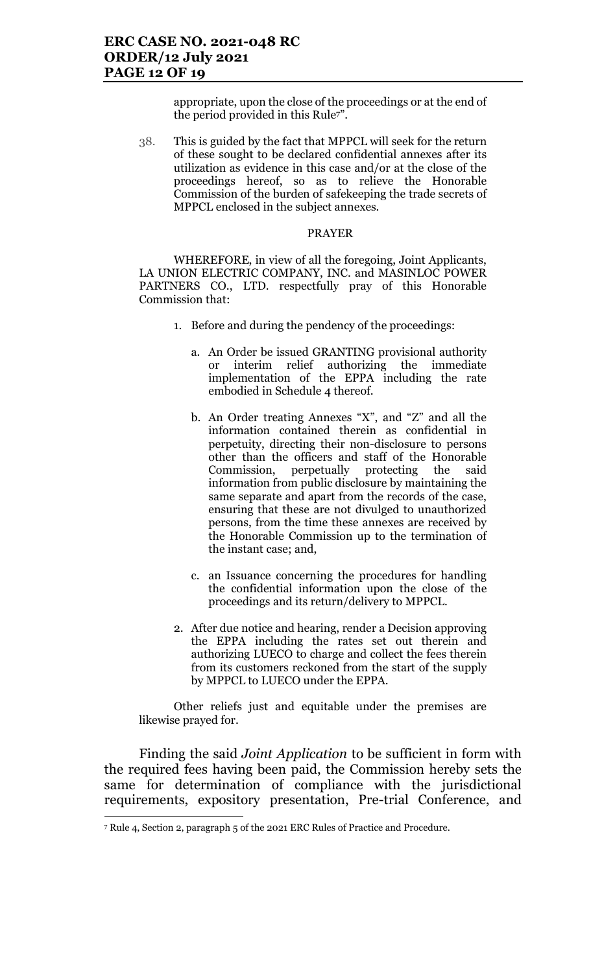appropriate, upon the close of the proceedings or at the end of the period provided in this Rule7".

38. This is guided by the fact that MPPCL will seek for the return of these sought to be declared confidential annexes after its utilization as evidence in this case and/or at the close of the proceedings hereof, so as to relieve the Honorable Commission of the burden of safekeeping the trade secrets of MPPCL enclosed in the subject annexes.

### PRAYER

WHEREFORE, in view of all the foregoing, Joint Applicants, LA UNION ELECTRIC COMPANY, INC. and MASINLOC POWER PARTNERS CO., LTD. respectfully pray of this Honorable Commission that:

- 1. Before and during the pendency of the proceedings:
	- a. An Order be issued GRANTING provisional authority or interim relief authorizing the immediate implementation of the EPPA including the rate embodied in Schedule 4 thereof.
	- b. An Order treating Annexes "X", and "Z" and all the information contained therein as confidential in perpetuity, directing their non-disclosure to persons other than the officers and staff of the Honorable Commission, perpetually protecting the said information from public disclosure by maintaining the same separate and apart from the records of the case, ensuring that these are not divulged to unauthorized persons, from the time these annexes are received by the Honorable Commission up to the termination of the instant case; and,
	- c. an Issuance concerning the procedures for handling the confidential information upon the close of the proceedings and its return/delivery to MPPCL.
- 2. After due notice and hearing, render a Decision approving the EPPA including the rates set out therein and authorizing LUECO to charge and collect the fees therein from its customers reckoned from the start of the supply by MPPCL to LUECO under the EPPA.

Other reliefs just and equitable under the premises are likewise prayed for.

Finding the said Joint Application to be sufficient in form with the required fees having been paid, the Commission hereby sets the same for determination of compliance with the jurisdictional requirements, expository presentation, Pre-trial Conference, and

<sup>7</sup> Rule 4, Section 2, paragraph 5 of the 2021 ERC Rules of Practice and Procedure.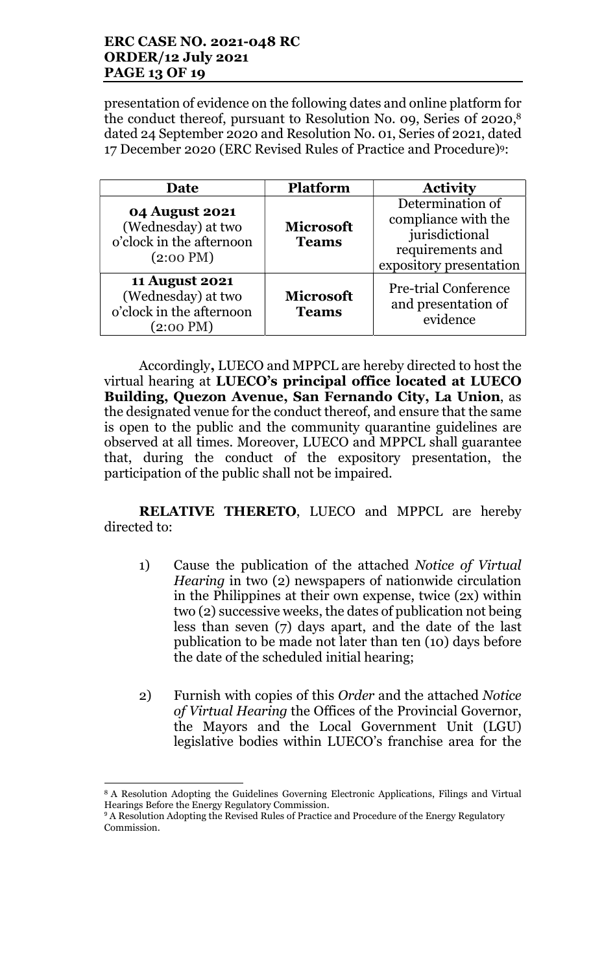## ERC CASE NO. 2021-048 RC ORDER/12 July 2021 PAGE 13 OF 19

presentation of evidence on the following dates and online platform for the conduct thereof, pursuant to Resolution No. 09, Series of 2020,<sup>8</sup> dated 24 September 2020 and Resolution No. 01, Series of 2021, dated 17 December 2020 (ERC Revised Rules of Practice and Procedure)9:

| Date                                                                                           | <b>Platform</b>                  | <b>Activity</b>                                                                                          |
|------------------------------------------------------------------------------------------------|----------------------------------|----------------------------------------------------------------------------------------------------------|
| <b>04 August 2021</b><br>(Wednesday) at two<br>o'clock in the afternoon<br>$(2:00 \text{ PM})$ | <b>Microsoft</b><br><b>Teams</b> | Determination of<br>compliance with the<br>jurisdictional<br>requirements and<br>expository presentation |
| <b>11 August 2021</b><br>(Wednesday) at two<br>o'clock in the afternoon<br>$(2:00 \text{ PM})$ | <b>Microsoft</b><br><b>Teams</b> | <b>Pre-trial Conference</b><br>and presentation of<br>evidence                                           |

Accordingly, LUECO and MPPCL are hereby directed to host the virtual hearing at LUECO's principal office located at LUECO Building, Quezon Avenue, San Fernando City, La Union, as the designated venue for the conduct thereof, and ensure that the same is open to the public and the community quarantine guidelines are observed at all times. Moreover, LUECO and MPPCL shall guarantee that, during the conduct of the expository presentation, the participation of the public shall not be impaired.

RELATIVE THERETO, LUECO and MPPCL are hereby directed to:

- 1) Cause the publication of the attached Notice of Virtual Hearing in two (2) newspapers of nationwide circulation in the Philippines at their own expense, twice (2x) within two (2) successive weeks, the dates of publication not being less than seven (7) days apart, and the date of the last publication to be made not later than ten (10) days before the date of the scheduled initial hearing;
- 2) Furnish with copies of this Order and the attached Notice of Virtual Hearing the Offices of the Provincial Governor, the Mayors and the Local Government Unit (LGU) legislative bodies within LUECO's franchise area for the

<sup>8</sup> A Resolution Adopting the Guidelines Governing Electronic Applications, Filings and Virtual Hearings Before the Energy Regulatory Commission.

<sup>&</sup>lt;sup>9</sup> A Resolution Adopting the Revised Rules of Practice and Procedure of the Energy Regulatory Commission.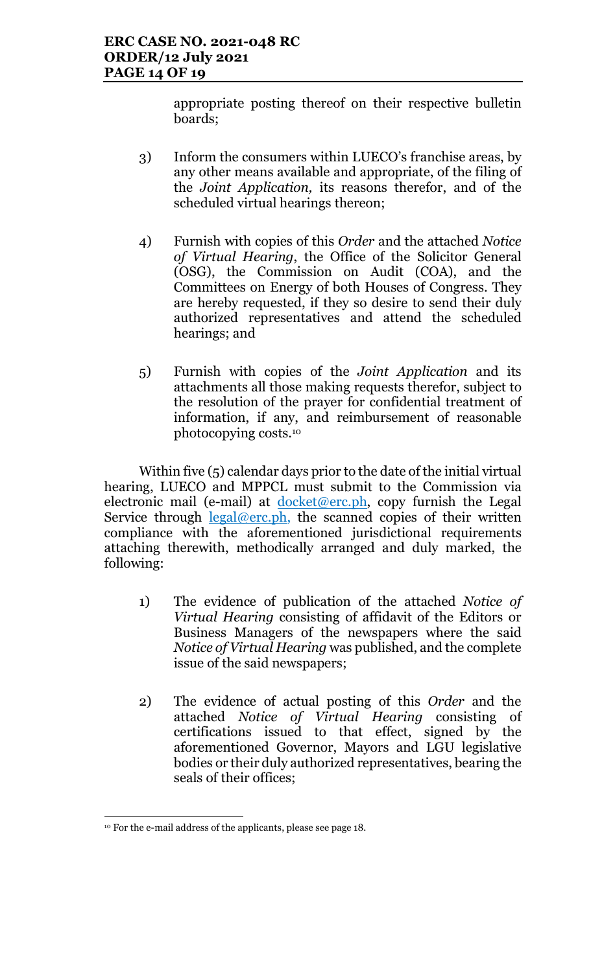appropriate posting thereof on their respective bulletin boards;

- 3) Inform the consumers within LUECO's franchise areas, by any other means available and appropriate, of the filing of the Joint Application, its reasons therefor, and of the scheduled virtual hearings thereon;
- 4) Furnish with copies of this Order and the attached Notice of Virtual Hearing, the Office of the Solicitor General (OSG), the Commission on Audit (COA), and the Committees on Energy of both Houses of Congress. They are hereby requested, if they so desire to send their duly authorized representatives and attend the scheduled hearings; and
- 5) Furnish with copies of the Joint Application and its attachments all those making requests therefor, subject to the resolution of the prayer for confidential treatment of information, if any, and reimbursement of reasonable photocopying costs.<sup>10</sup>

Within five (5) calendar days prior to the date of the initial virtual hearing, LUECO and MPPCL must submit to the Commission via electronic mail (e-mail) at  $d$ ocket@erc.ph, copy furnish the Legal Service through  $\frac{\text{legal@erc.ph}}{\text{begin}}$ , the scanned copies of their written compliance with the aforementioned jurisdictional requirements attaching therewith, methodically arranged and duly marked, the following:

- 1) The evidence of publication of the attached Notice of Virtual Hearing consisting of affidavit of the Editors or Business Managers of the newspapers where the said Notice of Virtual Hearing was published, and the complete issue of the said newspapers;
- 2) The evidence of actual posting of this Order and the attached Notice of Virtual Hearing consisting of certifications issued to that effect, signed by the aforementioned Governor, Mayors and LGU legislative bodies or their duly authorized representatives, bearing the seals of their offices;

<sup>10</sup> For the e-mail address of the applicants, please see page 18.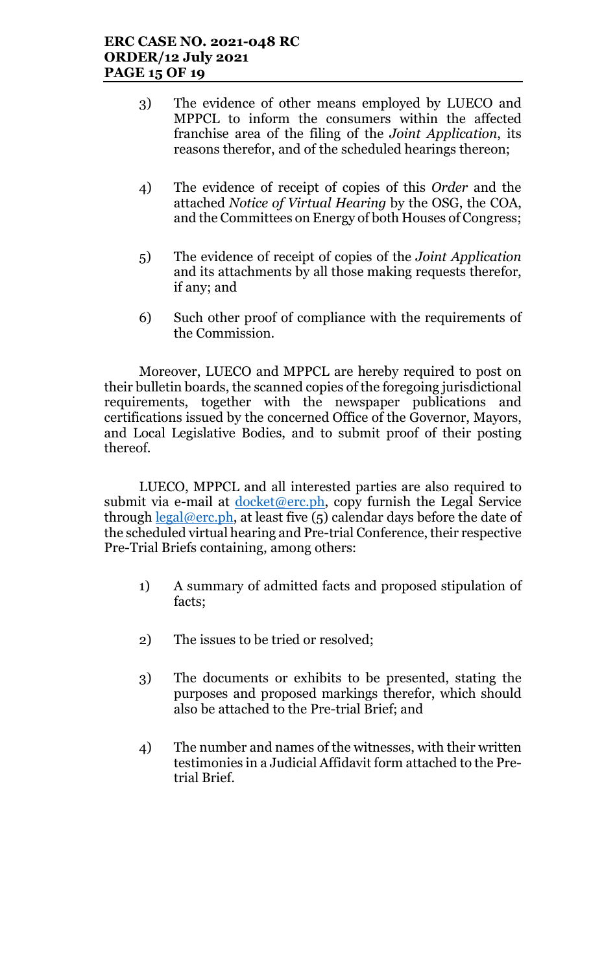- 3) The evidence of other means employed by LUECO and MPPCL to inform the consumers within the affected franchise area of the filing of the Joint Application, its reasons therefor, and of the scheduled hearings thereon;
- 4) The evidence of receipt of copies of this Order and the attached Notice of Virtual Hearing by the OSG, the COA, and the Committees on Energy of both Houses of Congress;
- 5) The evidence of receipt of copies of the Joint Application and its attachments by all those making requests therefor, if any; and
- 6) Such other proof of compliance with the requirements of the Commission.

Moreover, LUECO and MPPCL are hereby required to post on their bulletin boards, the scanned copies of the foregoing jurisdictional requirements, together with the newspaper publications and certifications issued by the concerned Office of the Governor, Mayors, and Local Legislative Bodies, and to submit proof of their posting thereof.

LUECO, MPPCL and all interested parties are also required to submit via e-mail at  $d$ ocket@erc.ph, copy furnish the Legal Service through  $\text{legal@erc.ph.}$  at least five (5) calendar days before the date of the scheduled virtual hearing and Pre-trial Conference, their respective Pre-Trial Briefs containing, among others:

- 1) A summary of admitted facts and proposed stipulation of facts;
- 2) The issues to be tried or resolved;
- 3) The documents or exhibits to be presented, stating the purposes and proposed markings therefor, which should also be attached to the Pre-trial Brief; and
- 4) The number and names of the witnesses, with their written testimonies in a Judicial Affidavit form attached to the Pretrial Brief.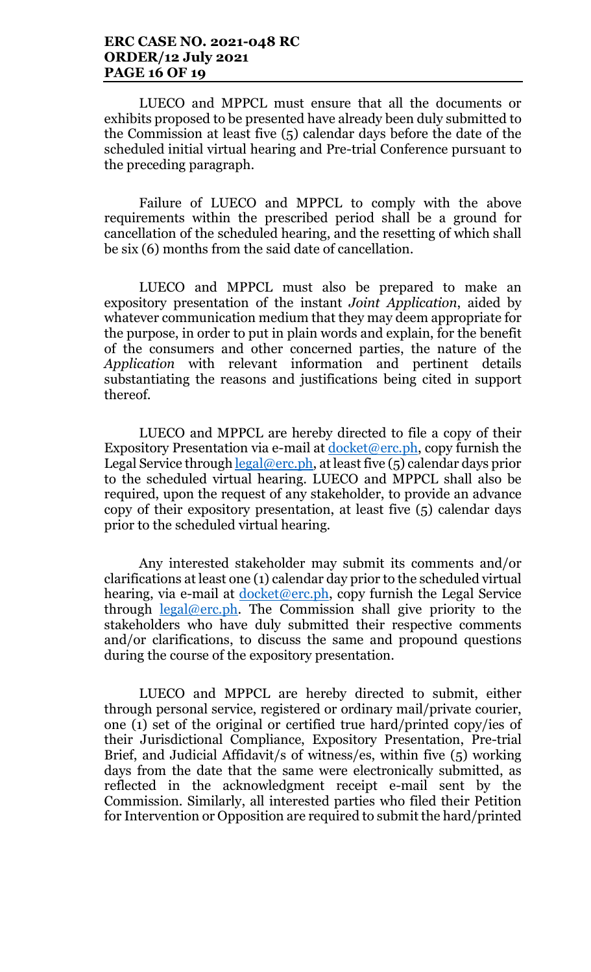### ERC CASE NO. 2021-048 RC ORDER/12 July 2021 PAGE 16 OF 19

LUECO and MPPCL must ensure that all the documents or exhibits proposed to be presented have already been duly submitted to the Commission at least five (5) calendar days before the date of the scheduled initial virtual hearing and Pre-trial Conference pursuant to the preceding paragraph.

Failure of LUECO and MPPCL to comply with the above requirements within the prescribed period shall be a ground for cancellation of the scheduled hearing, and the resetting of which shall be six (6) months from the said date of cancellation.

LUECO and MPPCL must also be prepared to make an expository presentation of the instant Joint Application, aided by whatever communication medium that they may deem appropriate for the purpose, in order to put in plain words and explain, for the benefit of the consumers and other concerned parties, the nature of the Application with relevant information and pertinent details substantiating the reasons and justifications being cited in support thereof.

LUECO and MPPCL are hereby directed to file a copy of their Expository Presentation via e-mail at  $d$ ocket@erc.ph, copy furnish the Legal Service through  $\frac{\text{legal@erc.ph}}{\text{Real@erc.ph}}$ , at least five (5) calendar days prior to the scheduled virtual hearing. LUECO and MPPCL shall also be required, upon the request of any stakeholder, to provide an advance copy of their expository presentation, at least five (5) calendar days prior to the scheduled virtual hearing.

Any interested stakeholder may submit its comments and/or clarifications at least one (1) calendar day prior to the scheduled virtual hearing, via e-mail at <u>docket@erc.ph</u>, copy furnish the Legal Service through  $\frac{\text{legal@erc.ph}}{\text{Real@erc.ph}}$ . The Commission shall give priority to the stakeholders who have duly submitted their respective comments and/or clarifications, to discuss the same and propound questions during the course of the expository presentation.

LUECO and MPPCL are hereby directed to submit, either through personal service, registered or ordinary mail/private courier, one (1) set of the original or certified true hard/printed copy/ies of their Jurisdictional Compliance, Expository Presentation, Pre-trial Brief, and Judicial Affidavit/s of witness/es, within five (5) working days from the date that the same were electronically submitted, as reflected in the acknowledgment receipt e-mail sent by the Commission. Similarly, all interested parties who filed their Petition for Intervention or Opposition are required to submit the hard/printed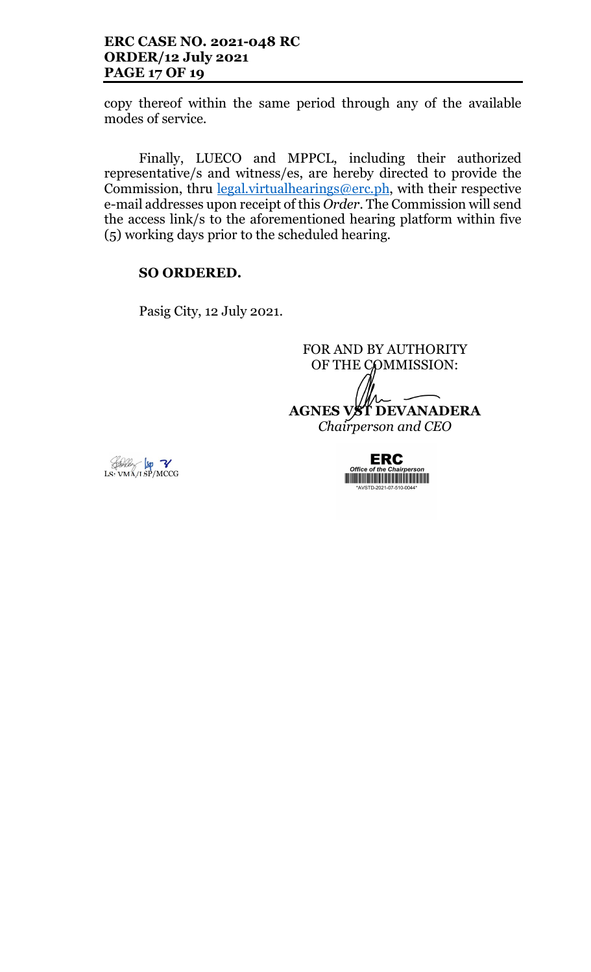### ERC CASE NO. 2021-048 RC ORDER/12 July 2021 PAGE 17 OF 19

copy thereof within the same period through any of the available modes of service.

Finally, LUECO and MPPCL, including their authorized representative/s and witness/es, are hereby directed to provide the Commission, thru *legal.virtualhearings@erc.ph*, with their respective e-mail addresses upon receipt of this Order. The Commission will send the access link/s to the aforementioned hearing platform within five (5) working days prior to the scheduled hearing.

### SO ORDERED.

Pasig City, 12 July 2021.

FOR AND BY AUTHORITY OF THE COMMISSION: AGNES VST DEVANADERA Chairperson and CEO



**ERC**  $Offic$ **THE REAL PROPERTY OF A STATE OF A STATE OF A STATE OF A STATE OF A STATE OF A STATE OF A STATE OF A** \*AVSTD-2021-07-510-0044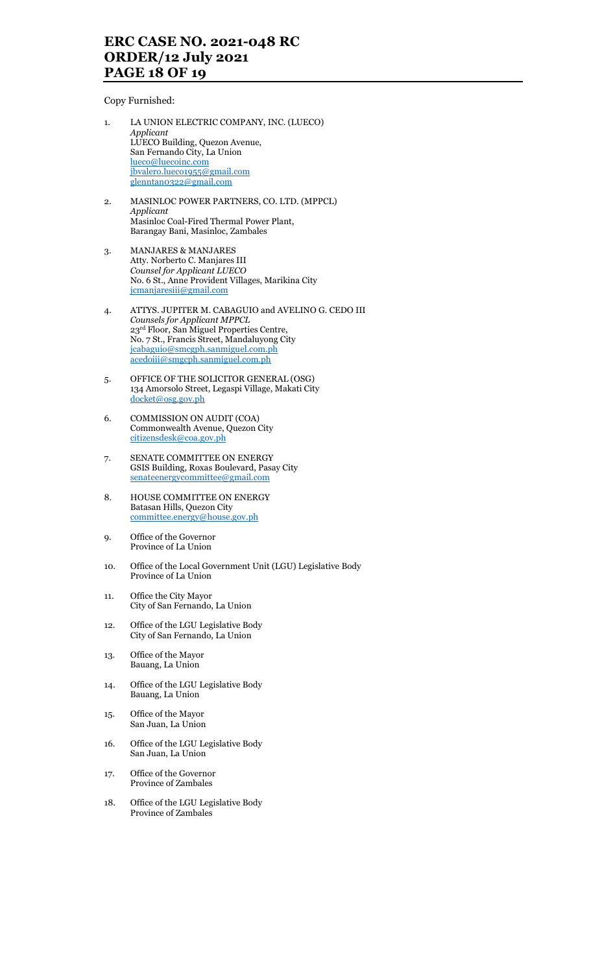## ERC CASE NO. 2021-048 RC ORDER/12 July 2021 PAGE 18 OF 19

Copy Furnished:

- 1. LA UNION ELECTRIC COMPANY, INC. (LUECO) Applicant LUECO Building, Quezon Avenue, San Fernando City, La Union lueco@luecoinc.com jbvalero.lueco1955@gmail.com glenntan0322@gmail.com
- 2. MASINLOC POWER PARTNERS, CO. LTD. (MPPCL) Applicant Masinloc Coal-Fired Thermal Power Plant, Barangay Bani, Masinloc, Zambales
- 3. MANJARES & MANJARES Atty. Norberto C. Manjares III Counsel for Applicant LUECO No. 6 St., Anne Provident Villages, Marikina City jcmanjaresiii@gmail.com
- 4. ATTYS. JUPITER M. CABAGUIO and AVELINO G. CEDO III Counsels for Applicant MPPCL 23rd Floor, San Miguel Properties Centre, No. 7 St., Francis Street, Mandaluyong City jcabaguio@smcgph.sanmiguel.com.ph acedoiii@smgcph.sanmiguel.com.ph
- 5. OFFICE OF THE SOLICITOR GENERAL (OSG) 134 Amorsolo Street, Legaspi Village, Makati City docket@osg.gov.ph
- 6. COMMISSION ON AUDIT (COA) Commonwealth Avenue, Quezon City citizensdesk@coa.gov.ph
- 7. SENATE COMMITTEE ON ENERGY GSIS Building, Roxas Boulevard, Pasay City senateenergycommittee@gmail.com
- 8. HOUSE COMMITTEE ON ENERGY Batasan Hills, Quezon City committee.energy@house.gov.ph
- 9. Office of the Governor Province of La Union
- 10. Office of the Local Government Unit (LGU) Legislative Body Province of La Union
- 11. Office the City Mayor City of San Fernando, La Union
- 12. Office of the LGU Legislative Body City of San Fernando, La Union
- 13. Office of the Mayor Bauang, La Union
- 14. Office of the LGU Legislative Body Bauang, La Union
- 15. Office of the Mayor San Juan, La Union
- 16. Office of the LGU Legislative Body San Juan, La Union
- 17. Office of the Governor Province of Zambales
- 18. Office of the LGU Legislative Body Province of Zambales